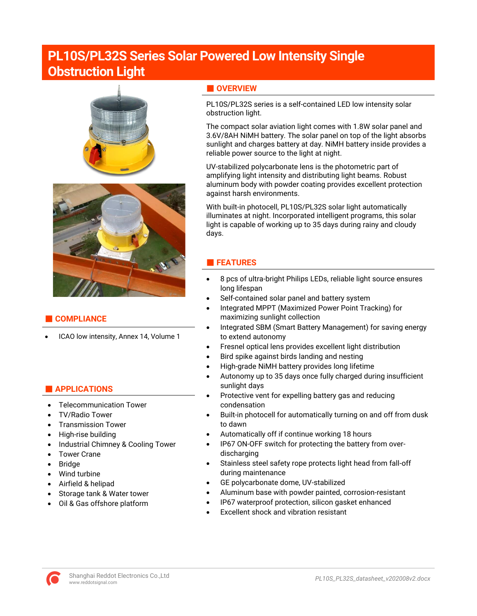# **PL10S/PL32S Series Solar Powered Low Intensity Single Obstruction Light**





# **■ COMPLIANCE**

• ICAO low intensity, Annex 14, Volume 1

# **■ APPLICATIONS**

- Telecommunication Tower
- TV/Radio Tower
- Transmission Tower
- High-rise building
- Industrial Chimney & Cooling Tower
- Tower Crane
- Bridge
- Wind turbine
- Airfield & helipad
- Storage tank & Water tower
- Oil & Gas offshore platform

# **■ OVERVIEW**

PL10S/PL32S series is a self-contained LED low intensity solar obstruction light.

The compact solar aviation light comes with 1.8W solar panel and 3.6V/8AH NiMH battery. The solar panel on top of the light absorbs sunlight and charges battery at day. NiMH battery inside provides a reliable power source to the light at night.

UV-stabilized polycarbonate lens is the photometric part of amplifying light intensity and distributing light beams. Robust aluminum body with powder coating provides excellent protection against harsh environments.

With built-in photocell, PL10S/PL32S solar light automatically illuminates at night. Incorporated intelligent programs, this solar light is capable of working up to 35 days during rainy and cloudy days.

# **■ FEATURES**

- 8 pcs of ultra-bright Philips LEDs, reliable light source ensures long lifespan
- Self-contained solar panel and battery system
- Integrated MPPT (Maximized Power Point Tracking) for maximizing sunlight collection
- Integrated SBM (Smart Battery Management) for saving energy to extend autonomy
- Fresnel optical lens provides excellent light distribution
- Bird spike against birds landing and nesting
- High-grade NiMH battery provides long lifetime
- Autonomy up to 35 days once fully charged during insufficient sunlight days
- Protective vent for expelling battery gas and reducing condensation
- Built-in photocell for automatically turning on and off from dusk to dawn
- Automatically off if continue working 18 hours
- IP67 ON-OFF switch for protecting the battery from overdischarging
- Stainless steel safety rope protects light head from fall-off during maintenance
- GE polycarbonate dome, UV-stabilized
- Aluminum base with powder painted, corrosion-resistant
- IP67 waterproof protection, silicon gasket enhanced
- Excellent shock and vibration resistant